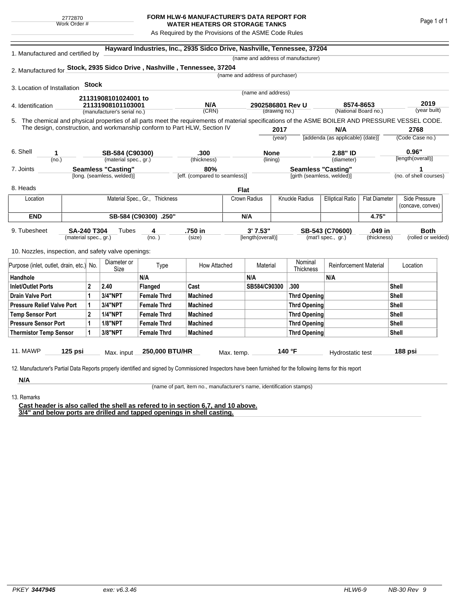## **FORM HLW-6 MANUFACTURER'S DATA REPORT FOR WATER HEATERS OR STORAGE TANKS**

As Required by the Provisions of the ASME Code Rules

| 1. Manufactured and certified by                                                                                                                   |                           |                                           |                             |                       |                               |              |                                   |                     | (name and address of manufacturer) |                                  |                      |               |                        |
|----------------------------------------------------------------------------------------------------------------------------------------------------|---------------------------|-------------------------------------------|-----------------------------|-----------------------|-------------------------------|--------------|-----------------------------------|---------------------|------------------------------------|----------------------------------|----------------------|---------------|------------------------|
| 2. Manufactured for Stock, 2935 Sidco Drive, Nashville, Tennessee, 37204                                                                           |                           |                                           |                             |                       |                               |              |                                   |                     |                                    |                                  |                      |               |                        |
|                                                                                                                                                    |                           |                                           |                             |                       |                               |              | (name and address of purchaser)   |                     |                                    |                                  |                      |               |                        |
| 3. Location of Installation                                                                                                                        |                           | <b>Stock</b>                              |                             |                       |                               |              |                                   |                     |                                    |                                  |                      |               |                        |
|                                                                                                                                                    |                           |                                           |                             |                       |                               |              | (name and address)                |                     |                                    |                                  |                      |               |                        |
| 4. Identification                                                                                                                                  |                           | 21131908101024001 to<br>21131908101103001 |                             |                       | N/A                           |              | 2902586801 Rev U<br>(drawing no.) |                     |                                    |                                  | 8574-8653            |               | 2019                   |
|                                                                                                                                                    |                           |                                           | (manufacturer's serial no.) | (CRN)                 |                               |              |                                   |                     | (National Board no.)               |                                  |                      | (year built)  |                        |
| 5. The chemical and physical properties of all parts meet the requirements of material specifications of the ASME BOILER AND PRESSURE VESSEL CODE. |                           |                                           |                             |                       |                               |              |                                   |                     |                                    |                                  |                      |               |                        |
| The design, construction, and workmanship conform to Part HLW, Section IV                                                                          |                           |                                           |                             |                       |                               |              | 2017                              |                     | N/A                                |                                  | 2768                 |               |                        |
|                                                                                                                                                    |                           |                                           |                             |                       |                               |              |                                   | (year)              |                                    | [addenda (as applicable) (date)] |                      |               | (Code Case no.)        |
| 6. Shell<br>1                                                                                                                                      |                           |                                           |                             |                       | .300                          |              | <b>None</b>                       |                     |                                    | 2.88" ID                         |                      | 0.96"         |                        |
| SB-584 (C90300)<br>(material spec., gr.)<br>(no.)                                                                                                  |                           |                                           |                             | (thickness)           |                               | (lining)     |                                   |                     | (diameter)                         |                                  | [length(overall)]    |               |                        |
| 7. Joints                                                                                                                                          | <b>Seamless "Casting"</b> |                                           |                             |                       | 80%                           |              | <b>Seamless "Casting"</b>         |                     |                                    |                                  |                      |               |                        |
|                                                                                                                                                    |                           |                                           | [long. (seamless, welded)]  |                       | [eff. (compared to seamless)] |              |                                   |                     | [girth (seamless, welded)]         |                                  |                      |               | (no. of shell courses) |
| 8. Heads                                                                                                                                           |                           |                                           |                             |                       |                               | <b>Flat</b>  |                                   |                     |                                    |                                  |                      |               |                        |
| Location                                                                                                                                           |                           | Material Spec., Gr., Thickness            |                             |                       |                               | Crown Radius |                                   | Knuckle Radius      |                                    | <b>Elliptical Ratio</b>          | <b>Flat Diameter</b> | Side Pressure |                        |
|                                                                                                                                                    |                           |                                           |                             |                       |                               |              |                                   |                     |                                    |                                  |                      |               | (concave, convex)      |
| <b>END</b>                                                                                                                                         |                           |                                           |                             | SB-584 (C90300) .250" |                               | N/A          |                                   |                     |                                    | 4.75"                            |                      |               |                        |
| 9. Tubesheet<br><b>SA-240 T304</b>                                                                                                                 |                           |                                           | Tubes                       | 4                     | .750 in                       |              | 3'7.53"                           |                     |                                    | SB-543 (C70600)<br>.049 in       |                      |               | <b>Both</b>            |
|                                                                                                                                                    | (material spec., gr.)     |                                           |                             | (no.)                 | (size)                        |              | [length(overall)]                 |                     |                                    | (mat'l spec., gr.)               | (thickness)          |               | (rolled or welded)     |
| 10. Nozzles, inspection, and safety valve openings:                                                                                                |                           |                                           |                             |                       |                               |              |                                   |                     |                                    |                                  |                      |               |                        |
|                                                                                                                                                    |                           |                                           |                             |                       |                               |              |                                   |                     |                                    |                                  |                      |               |                        |
| Purpose (inlet, outlet, drain, etc.) No.                                                                                                           |                           |                                           | Diameter or<br>Size         | Type                  | How Attached                  | Material     |                                   |                     | Nominal<br>Thickness               | <b>Reinforcement Material</b>    |                      | Location      |                        |
| Handhole                                                                                                                                           |                           |                                           |                             | N/A                   |                               |              | N/A                               |                     |                                    | N/A                              |                      |               |                        |
| <b>Inlet/Outlet Ports</b>                                                                                                                          |                           | $\mathbf 2$                               | 2.40                        | Flanged               | Cast                          |              | SB584/C90300                      |                     | .300                               |                                  |                      | <b>Shell</b>  |                        |
| <b>Drain Valve Port</b>                                                                                                                            |                           |                                           | 3/4"NPT                     | <b>Female Thrd</b>    | <b>Machined</b>               |              |                                   |                     | <b>Thrd Opening</b>                |                                  |                      | Shell         |                        |
| <b>Pressure Relief Valve Port</b>                                                                                                                  |                           | 1                                         | <b>3/4"NPT</b>              | <b>Female Thrd</b>    | <b>Machined</b>               |              |                                   |                     | Thrd Opening                       |                                  |                      | <b>Shell</b>  |                        |
| <b>Temp Sensor Port</b>                                                                                                                            |                           | $\mathbf{2}$                              | <b>1/4"NPT</b>              | <b>Female Thrd</b>    | <b>Machined</b>               |              |                                   | <b>Thrd Opening</b> |                                    |                                  |                      | <b>Shell</b>  |                        |
| <b>Pressure Sensor Port</b>                                                                                                                        |                           | 1                                         | <b>1/8"NPT</b>              | <b>Female Thrd</b>    | <b>Machined</b>               |              |                                   | <b>Thrd Opening</b> |                                    |                                  |                      | Shell         |                        |
| <b>Thermistor Temp Sensor</b>                                                                                                                      |                           | 1                                         | 3/8"NPT                     | <b>Female Thrd</b>    | <b>Machined</b>               |              |                                   |                     | <b>Thrd Opening</b>                |                                  |                      | Shell         |                        |
|                                                                                                                                                    |                           |                                           |                             |                       |                               |              |                                   |                     |                                    |                                  |                      |               |                        |
|                                                                                                                                                    |                           |                                           |                             |                       |                               |              |                                   |                     |                                    |                                  |                      |               |                        |

**N/A** 13. Remarks

(name of part, item no., manufacturer's name, identification stamps)

**Cast header is also called the shell as refered to in section 6,7, and 10 above. 3/4" and below ports are drilled and tapped openings in shell casting.**

Page 1 of 1